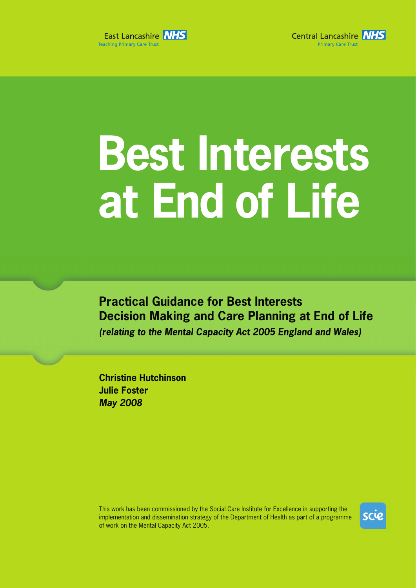



# **Best Interests at End of Life**

**Practical Guidance for Best Interests Decision Making and Care Planning at End of Life (relating to the Mental Capacity Act 2005 England and Wales)** 

**Christine Hutchinson Julie Foster May 2008**

This work has been commissioned by the Social Care Institute for Excellence in supporting the implementation and dissemination strategy of the Department of Health as part of a programme of work on the Mental Capacity Act 2005.

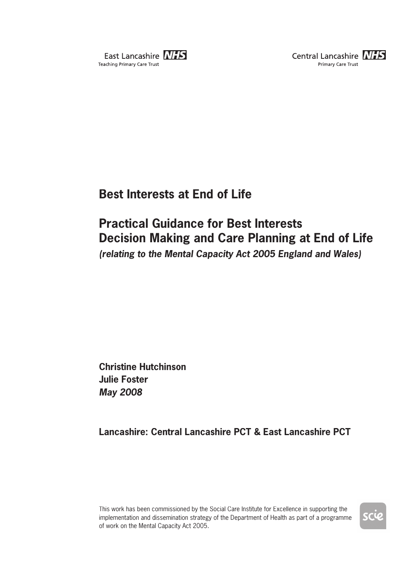



# **Best Interests at End of Life**

# **Practical Guidance for Best Interests Decision Making and Care Planning at End of Life (relating to the Mental Capacity Act 2005 England and Wales)**

**Christine Hutchinson Julie Foster May 2008**

**Lancashire: Central Lancashire PCT & East Lancashire PCT**

This work has been commissioned by the Social Care Institute for Excellence in supporting the implementation and dissemination strategy of the Department of Health as part of a programme of work on the Mental Capacity Act 2005.

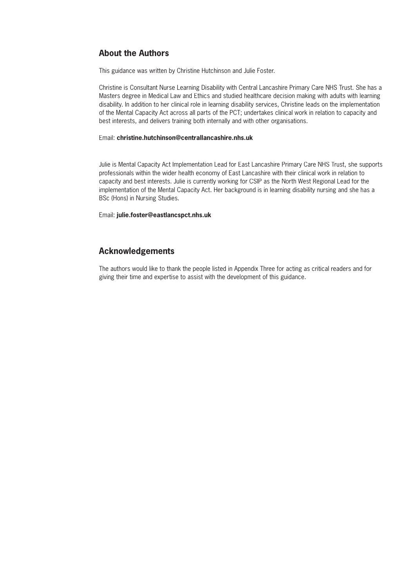# **About the Authors**

This guidance was written by Christine Hutchinson and Julie Foster.

Christine is Consultant Nurse Learning Disability with Central Lancashire Primary Care NHS Trust. She has a Masters degree in Medical Law and Ethics and studied healthcare decision making with adults with learning disability. In addition to her clinical role in learning disability services, Christine leads on the implementation of the Mental Capacity Act across all parts of the PCT; undertakes clinical work in relation to capacity and best interests, and delivers training both internally and with other organisations.

#### Email: **christine.hutchinson@centrallancashire.nhs.uk**

Julie is Mental Capacity Act Implementation Lead for East Lancashire Primary Care NHS Trust, she supports professionals within the wider health economy of East Lancashire with their clinical work in relation to capacity and best interests. Julie is currently working for CSIP as the North West Regional Lead for the implementation of the Mental Capacity Act. Her background is in learning disability nursing and she has a BSc (Hons) in Nursing Studies.

Email: **julie.foster@eastlancspct.nhs.uk**

# **Acknowledgements**

The authors would like to thank the people listed in Appendix Three for acting as critical readers and for giving their time and expertise to assist with the development of this guidance.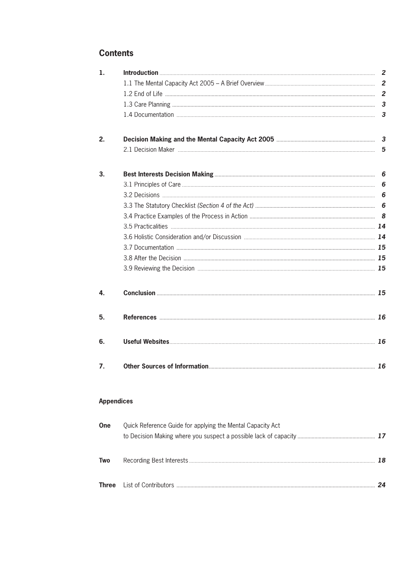# **Contents**

Two

| 1.                |                                                            |   |
|-------------------|------------------------------------------------------------|---|
|                   |                                                            |   |
|                   |                                                            |   |
|                   |                                                            |   |
|                   |                                                            |   |
| 2.                |                                                            |   |
|                   |                                                            | 5 |
| 3.                |                                                            | 6 |
|                   |                                                            | 6 |
|                   |                                                            | 6 |
|                   |                                                            | 6 |
|                   |                                                            | 8 |
|                   |                                                            |   |
|                   |                                                            |   |
|                   |                                                            |   |
|                   |                                                            |   |
|                   |                                                            |   |
| 4.                |                                                            |   |
| 5.                |                                                            |   |
| 6.                |                                                            |   |
| 7.                |                                                            |   |
| <b>Appendices</b> |                                                            |   |
| One               | Quick Reference Guide for applying the Mental Capacity Act |   |
|                   |                                                            |   |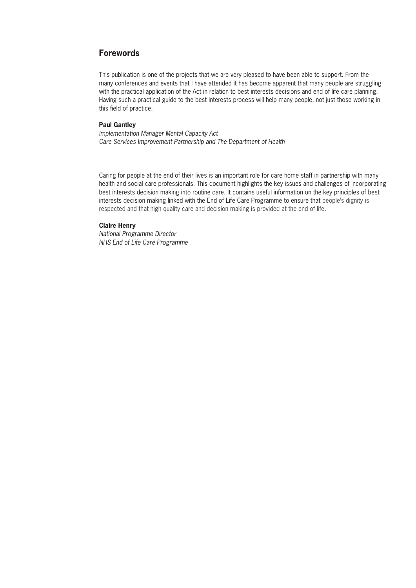## **Forewords**

This publication is one of the projects that we are very pleased to have been able to support. From the many conferences and events that I have attended it has become apparent that many people are struggling with the practical application of the Act in relation to best interests decisions and end of life care planning. Having such a practical guide to the best interests process will help many people, not just those working in this field of practice.

#### **Paul Gantley**

Implementation Manager Mental Capacity Act Care Services Improvement Partnership and The Department of Health

Caring for people at the end of their lives is an important role for care home staff in partnership with many health and social care professionals. This document highlights the key issues and challenges of incorporating best interests decision making into routine care. It contains useful information on the key principles of best interests decision making linked with the End of Life Care Programme to ensure that people's dignity is respected and that high quality care and decision making is provided at the end of life.

#### **Claire Henry**

National Programme Director NHS End of Life Care Programme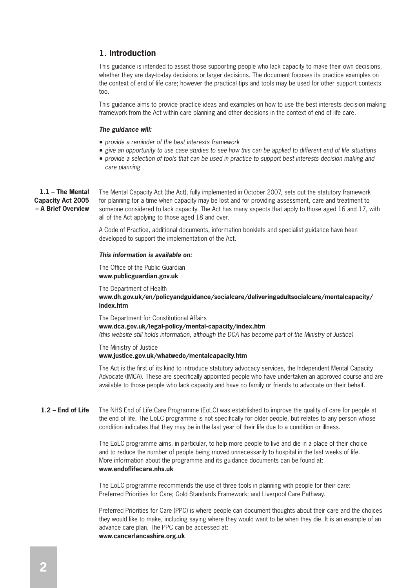# **1. Introduction**

This guidance is intended to assist those supporting people who lack capacity to make their own decisions, whether they are day-to-day decisions or larger decisions. The document focuses its practice examples on the context of end of life care; however the practical tips and tools may be used for other support contexts too.

This guidance aims to provide practice ideas and examples on how to use the best interests decision making framework from the Act within care planning and other decisions in the context of end of life care.

#### **The guidance will:**

- provide a reminder of the best interests framework
- give an opportunity to use case studies to see how this can be applied to different end of life situations
- provide a selection of tools that can be used in practice to support best interests decision making and care planning

**1.1 – The Mental Capacity Act 2005 – A Brief Overview** The Mental Capacity Act (the Act), fully implemented in October 2007, sets out the statutory framework for planning for a time when capacity may be lost and for providing assessment, care and treatment to someone considered to lack capacity. The Act has many aspects that apply to those aged 16 and 17, with all of the Act applying to those aged 18 and over.

A Code of Practice, additional documents, information booklets and specialist guidance have been developed to support the implementation of the Act.

#### **This information is available on:**

#### The Office of the Public Guardian **www.publicguardian.gov.uk**

The Department of Health **www.dh.gov.uk/en/policyandguidance/socialcare/deliveringadultsocialcare/mentalcapacity/ index.htm**

The Department for Constitutional Affairs **www.dca.gov.uk/legal-policy/mental-capacity/index.htm** (this website still holds information, although the DCA has become part of the Ministry of Justice)

The Ministry of Justice **www.justice.gov.uk/whatwedo/mentalcapacity.htm**

The Act is the first of its kind to introduce statutory advocacy services, the Independent Mental Capacity Advocate (IMCA). These are specifically appointed people who have undertaken an approved course and are available to those people who lack capacity and have no family or friends to advocate on their behalf.

The NHS End of Life Care Programme (EoLC) was established to improve the quality of care for people at the end of life. The EoLC programme is not specifically for older people, but relates to any person whose condition indicates that they may be in the last year of their life due to a condition or illness. **1.2 – End of Life**

> The EoLC programme aims, in particular, to help more people to live and die in a place of their choice and to reduce the number of people being moved unnecessarily to hospital in the last weeks of life. More information about the programme and its guidance documents can be found at: www.endoflifecare.nhs.uk

The EoLC programme recommends the use of three tools in planning with people for their care: Preferred Priorities for Care; Gold Standards Framework; and Liverpool Care Pathway.

Preferred Priorities for Care (PPC) is where people can document thoughts about their care and the choices they would like to make, including saying where they would want to be when they die. It is an example of an advance care plan. The PPC can be accessed at: **www.cancerlancashire.org.uk**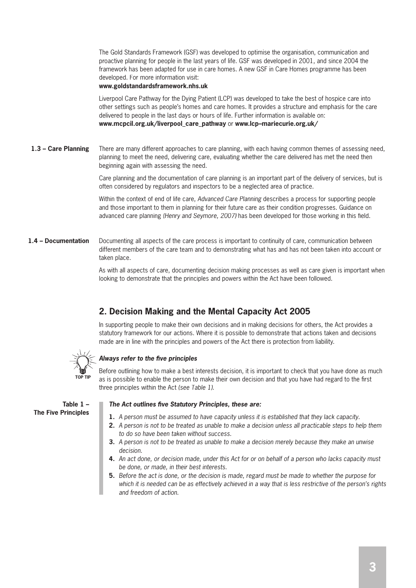The Gold Standards Framework (GSF) was developed to optimise the organisation, communication and proactive planning for people in the last years of life. GSF was developed in 2001, and since 2004 the framework has been adapted for use in care homes. A new GSF in Care Homes programme has been developed. For more information visit:

#### **www.goldstandardsframework.nhs.uk**

Liverpool Care Pathway for the Dying Patient (LCP) was developed to take the best of hospice care into other settings such as people's homes and care homes. It provides a structure and emphasis for the care delivered to people in the last days or hours of life. Further information is available on: **www.mcpcil.org.uk/liverpool\_care\_pathway** or **www.lcp–mariecurie.org.uk/**

There are many different approaches to care planning, with each having common themes of assessing need, planning to meet the need, delivering care, evaluating whether the care delivered has met the need then beginning again with assessing the need. **1.3 – Care Planning**

> Care planning and the documentation of care planning is an important part of the delivery of services, but is often considered by regulators and inspectors to be a neglected area of practice.

Within the context of end of life care, Advanced Care Planning describes a process for supporting people and those important to them in planning for their future care as their condition progresses. Guidance on advanced care planning (Henry and Seymore, 2007) has been developed for those working in this field.

Documenting all aspects of the care process is important to continuity of care, communication between different members of the care team and to demonstrating what has and has not been taken into account or taken place. **1.4 – Documentation**

> As with all aspects of care, documenting decision making processes as well as care given is important when looking to demonstrate that the principles and powers within the Act have been followed.

# **2. Decision Making and the Mental Capacity Act 2005**

In supporting people to make their own decisions and in making decisions for others, the Act provides a statutory framework for our actions. Where it is possible to demonstrate that actions taken and decisions made are in line with the principles and powers of the Act there is protection from liability.



#### **Always refer to the five principles**

Before outlining how to make a best interests decision, it is important to check that you have done as much as is possible to enable the person to make their own decision and that you have had regard to the first three principles within the Act (see Table 1).

**Table 1 – The Five Principles**

#### **The Act outlines five Statutory Principles, these are:**

- **1.** A person must be assumed to have capacity unless it is established that they lack capacity.
- **2.** A person is not to be treated as unable to make a decision unless all practicable steps to help them to do so have been taken without success.
- **3.** A person is not to be treated as unable to make a decision merely because they make an unwise decision.
- **4.** An act done, or decision made, under this Act for or on behalf of a person who lacks capacity must be done, or made, in their best interests.
- **5.** Before the act is done, or the decision is made, regard must be made to whether the purpose for which it is needed can be as effectively achieved in a way that is less restrictive of the person's rights and freedom of action.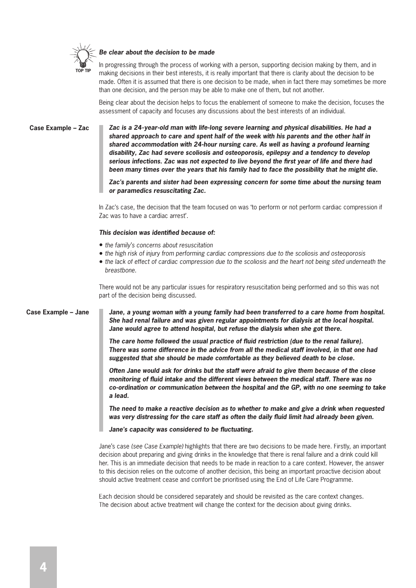

#### **Be clear about the decision to be made**

In progressing through the process of working with a person, supporting decision making by them, and in making decisions in their best interests, it is really important that there is clarity about the decision to be made. Often it is assumed that there is one decision to be made, when in fact there may sometimes be more than one decision, and the person may be able to make one of them, but not another.

Being clear about the decision helps to focus the enablement of someone to make the decision, focuses the assessment of capacity and focuses any discussions about the best interests of an individual.

**Case Example – Zac**

**Zac is a 24-year-old man with life-long severe learning and physical disabilities. He had a shared approach to care and spent half of the week with his parents and the other half in shared accommodation with 24-hour nursing care. As well as having a profound learning disability, Zac had severe scoliosis and osteoporosis, epilepsy and a tendency to develop**  serious infections. Zac was not expected to live beyond the first year of life and there had **been many times over the years that his family had to face the possibility that he might die.**

**Zac's parents and sister had been expressing concern for some time about the nursing team or paramedics resuscitating Zac.**

In Zac's case, the decision that the team focused on was 'to perform or not perform cardiac compression if Zac was to have a cardiac arrest'.

#### This decision was identified because of:

- the family's concerns about resuscitation
- the high risk of injury from performing cardiac compressions due to the scoliosis and osteoporosis
- the lack of effect of cardiac compression due to the scoliosis and the heart not being sited underneath the breastbone.

There would not be any particular issues for respiratory resuscitation being performed and so this was not part of the decision being discussed.

#### **Case Example – Jane**

**Jane, a young woman with a young family had been transferred to a care home from hospital. She had renal failure and was given regular appointments for dialysis at the local hospital. Jane would agree to attend hospital, but refuse the dialysis when she got there.**

The care home followed the usual practice of fluid restriction (due to the renal failure). **There was some difference in the advice from all the medical staff involved, in that one had suggested that she should be made comfortable as they believed death to be close.**

**Often Jane would ask for drinks but the staff were afraid to give them because of the close**  monitoring of fluid intake and the different views between the medical staff. There was no **co-ordination or communication between the hospital and the GP, with no one seeming to take a lead.**

**The need to make a reactive decision as to whether to make and give a drink when requested**  was very distressing for the care staff as often the daily fluid limit had already been given.

Jane's capacity was considered to be fluctuating.

Jane's case (see Case Example) highlights that there are two decisions to be made here. Firstly, an important decision about preparing and giving drinks in the knowledge that there is renal failure and a drink could kill her. This is an immediate decision that needs to be made in reaction to a care context. However, the answer to this decision relies on the outcome of another decision, this being an important proactive decision about should active treatment cease and comfort be prioritised using the End of Life Care Programme.

Each decision should be considered separately and should be revisited as the care context changes. The decision about active treatment will change the context for the decision about giving drinks.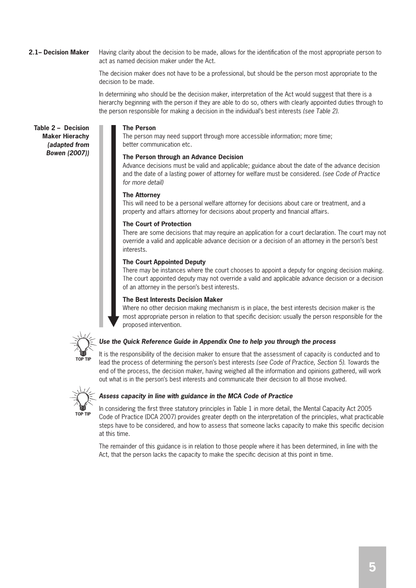#### Having clarity about the decision to be made, allows for the identification of the most appropriate person to act as named decision maker under the Act. **2.1– Decision Maker**

The decision maker does not have to be a professional, but should be the person most appropriate to the decision to be made.

In determining who should be the decision maker, interpretation of the Act would suggest that there is a hierarchy beginning with the person if they are able to do so, others with clearly appointed duties through to the person responsible for making a decision in the individual's best interests (see Table 2).

**The Person**

The person may need support through more accessible information; more time; better communication etc.

#### **The Person through an Advance Decision**

Advance decisions must be valid and applicable; guidance about the date of the advance decision and the date of a lasting power of attorney for welfare must be considered. (see Code of Practice for more detail)

#### **The Attorney**

This will need to be a personal welfare attorney for decisions about care or treatment, and a property and affairs attorney for decisions about property and financial affairs.

#### **The Court of Protection**

There are some decisions that may require an application for a court declaration. The court may not override a valid and applicable advance decision or a decision of an attorney in the person's best interests.

#### **The Court Appointed Deputy**

There may be instances where the court chooses to appoint a deputy for ongoing decision making. The court appointed deputy may not override a valid and applicable advance decision or a decision of an attorney in the person's best interests.

#### **The Best Interests Decision Maker**

Where no other decision making mechanism is in place, the best interests decision maker is the most appropriate person in relation to that specific decision: usually the person responsible for the proposed intervention.



**Table 2 – Decision Maker Hierachy (adapted from Bowen (2007))**

#### **Use the Quick Reference Guide in Appendix One to help you through the process**

It is the responsibility of the decision maker to ensure that the assessment of capacity is conducted and to lead the process of determining the person's best interests (see Code of Practice, Section 5). Towards the end of the process, the decision maker, having weighed all the information and opinions gathered, will work out what is in the person's best interests and communicate their decision to all those involved.



#### **Assess capacity in line with guidance in the MCA Code of Practice**

In considering the first three statutory principles in Table 1 in more detail, the Mental Capacity Act 2005 Code of Practice (DCA 2007) provides greater depth on the interpretation of the principles, what practicable steps have to be considered, and how to assess that someone lacks capacity to make this specific decision at this time.

The remainder of this guidance is in relation to those people where it has been determined, in line with the Act, that the person lacks the capacity to make the specific decision at this point in time.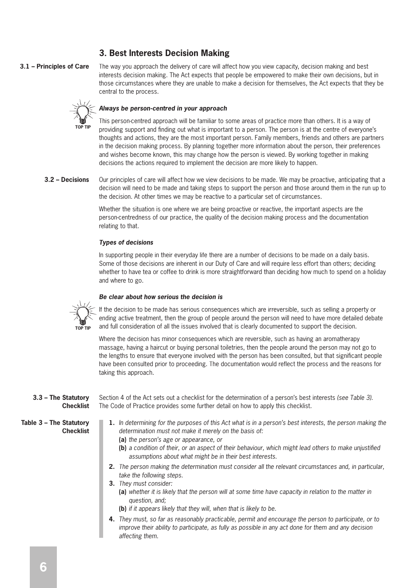# **3. Best Interests Decision Making**

#### **3.1 – Principles of Care**

The way you approach the delivery of care will affect how you view capacity, decision making and best interests decision making. The Act expects that people be empowered to make their own decisions, but in those circumstances where they are unable to make a decision for themselves, the Act expects that they be central to the process.



#### **Always be person-centred in your approach**

This person-centred approach will be familiar to some areas of practice more than others. It is a way of providing support and finding out what is important to a person. The person is at the centre of everyone's thoughts and actions, they are the most important person. Family members, friends and others are partners in the decision making process. By planning together more information about the person, their preferences and wishes become known, this may change how the person is viewed. By working together in making decisions the actions required to implement the decision are more likely to happen.

Our principles of care will affect how we view decisions to be made. We may be proactive, anticipating that a decision will need to be made and taking steps to support the person and those around them in the run up to the decision. At other times we may be reactive to a particular set of circumstances. **3.2 – Decisions**

> Whether the situation is one where we are being proactive or reactive, the important aspects are the person-centredness of our practice, the quality of the decision making process and the documentation relating to that.

#### **Types of decisions**

In supporting people in their everyday life there are a number of decisions to be made on a daily basis. Some of those decisions are inherent in our Duty of Care and will require less effort than others; deciding whether to have tea or coffee to drink is more straightforward than deciding how much to spend on a holiday and where to go.

#### **Be clear about how serious the decision is**



If the decision to be made has serious consequences which are irreversible, such as selling a property or ending active treatment, then the group of people around the person will need to have more detailed debate and full consideration of all the issues involved that is clearly documented to support the decision.

Where the decision has minor consequences which are reversible, such as having an aromatherapy massage, having a haircut or buying personal toiletries, then the people around the person may not go to the lengths to ensure that everyone involved with the person has been consulted, but that significant people have been consulted prior to proceeding. The documentation would reflect the process and the reasons for taking this approach.

#### **3.3 – The Statutory Checklist**

Section 4 of the Act sets out a checklist for the determination of a person's best interests (see Table 3). The Code of Practice provides some further detail on how to apply this checklist.

**Table 3 – The Statutory Checklist**

- **1.** In determining for the purposes of this Act what is in a person's best interests, the person making the determination must not make it merely on the basis of:
	- **(a)** the person's age or appearance, or
	- **(b)** a condition of their, or an aspect of their behaviour, which might lead others to make unjustified assumptions about what might be in their best interests.
- **2.** The person making the determination must consider all the relevant circumstances and, in particular, take the following steps.
- **3.** They must consider:
	- **(a)** whether it is likely that the person will at some time have capacity in relation to the matter in question, and;
	- **(b)** if it appears likely that they will, when that is likely to be.
- **4.** They must, so far as reasonably practicable, permit and encourage the person to participate, or to improve their ability to participate, as fully as possible in any act done for them and any decision affecting them.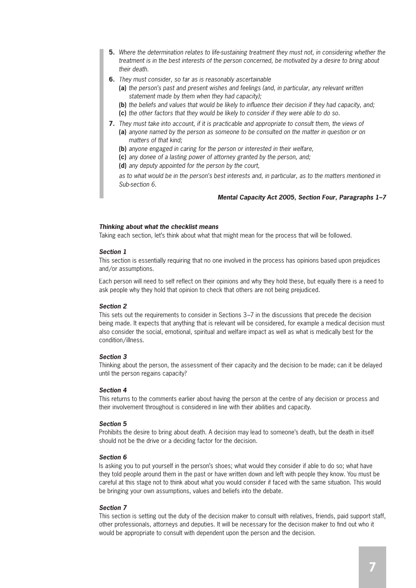- **5.** Where the determination relates to life-sustaining treatment they must not, in considering whether the treatment is in the best interests of the person concerned, be motivated by a desire to bring about their death.
- **6.** They must consider, so far as is reasonably ascertainable
	- **(a)** the person's past and present wishes and feelings (and, in particular, any relevant written statement made by them when they had capacity);
	- **(b)** the beliefs and values that would be likely to influence their decision if they had capacity, and;
	- **(c)** the other factors that they would be likely to consider if they were able to do so.
- **7.** They must take into account, if it is practicable and appropriate to consult them, the views of **(a)** anyone named by the person as someone to be consulted on the matter in question or on matters of that kind;
	- **(b)** anyone engaged in caring for the person or interested in their welfare,
	- **(c)** any donee of a lasting power of attorney granted by the person, and;
	- **(d)** any deputy appointed for the person by the court,

 as to what would be in the person's best interests and, in particular, as to the matters mentioned in Sub-section 6.

#### **Mental Capacity Act 2005, Section Four, Paragraphs 1–7**

#### **Thinking about what the checklist means**

Taking each section, let's think about what that might mean for the process that will be followed.

#### **Section 1**

This section is essentially requiring that no one involved in the process has opinions based upon prejudices and/or assumptions.

Each person will need to self reflect on their opinions and why they hold these, but equally there is a need to ask people why they hold that opinion to check that others are not being prejudiced.

#### **Section 2**

This sets out the requirements to consider in Sections 3–7 in the discussions that precede the decision being made. It expects that anything that is relevant will be considered, for example a medical decision must also consider the social, emotional, spiritual and welfare impact as well as what is medically best for the condition/illness.

#### **Section 3**

Thinking about the person, the assessment of their capacity and the decision to be made; can it be delayed until the person regains capacity?

#### **Section 4**

This returns to the comments earlier about having the person at the centre of any decision or process and their involvement throughout is considered in line with their abilities and capacity.

#### **Section 5**

Prohibits the desire to bring about death. A decision may lead to someone's death, but the death in itself should not be the drive or a deciding factor for the decision.

#### **Section 6**

Is asking you to put yourself in the person's shoes; what would they consider if able to do so; what have they told people around them in the past or have written down and left with people they know. You must be careful at this stage not to think about what you would consider if faced with the same situation. This would be bringing your own assumptions, values and beliefs into the debate.

#### **Section 7**

This section is setting out the duty of the decision maker to consult with relatives, friends, paid support staff, other professionals, attorneys and deputies. It will be necessary for the decision maker to find out who it would be appropriate to consult with dependent upon the person and the decision.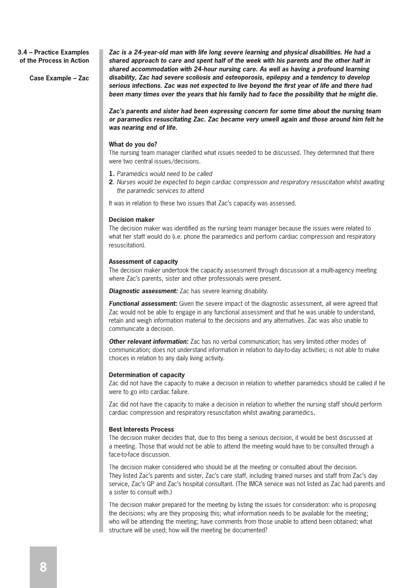#### **3.4 – Practice Examples of the Process in Action**

**Case Example – Zac**

**Zac is a 24-year-old man with life long severe learning and physical disabilities. He had a shared approach to care and spent half of the week with his parents and the other half in shared accommodation with 24-hour nursing care. As well as having a profound learning disability, Zac had severe scoliosis and osteoporosis, epilepsy and a tendency to develop**  serious infections. Zac was not expected to live beyond the first year of life and there had **been many times over the years that his family had to face the possibility that he might die.** 

**Zac's parents and sister had been expressing concern for some time about the nursing team or paramedics resuscitating Zac. Zac became very unwell again and those around him felt he was nearing end of life.**

#### **What do you do?**

The nursing team manager clarified what issues needed to be discussed. They determined that there were two central issues/decisions.

- **1.** Paramedics would need to be called
- **2**. Nurses would be expected to begin cardiac compression and respiratory resuscitation whilst awaiting the paramedic services to attend

It was in relation to these two issues that Zac's capacity was assessed.

#### **Decision maker**

The decision maker was identified as the nursing team manager because the issues were related to what her staff would do (i.e. phone the paramedics and perform cardiac compression and respiratory resuscitation).

#### **Assessment of capacity**

The decision maker undertook the capacity assessment through discussion at a multi-agency meeting where Zac's parents, sister and other professionals were present.

**Diagnostic assessment:** Zac has severe learning disability.

**Functional assessment:** Given the severe impact of the diagnostic assessment, all were agreed that Zac would not be able to engage in any functional assessment and that he was unable to understand, retain and weigh information material to the decisions and any alternatives. Zac was also unable to communicate a decision.

**Other relevant information:** Zac has no verbal communication; has very limited other modes of communication; does not understand information in relation to day-to-day activities; is not able to make choices in relation to any daily living activity.

#### **Determination of capacity**

Zac did not have the capacity to make a decision in relation to whether paramedics should be called if he were to go into cardiac failure.

Zac did not have the capacity to make a decision in relation to whether the nursing staff should perform cardiac compression and respiratory resuscitation whilst awaiting paramedics**.**

#### **Best Interests Process**

The decision maker decides that, due to this being a serious decision, it would be best discussed at a meeting. Those that would not be able to attend the meeting would have to be consulted through a face-to-face discussion.

The decision maker considered who should be at the meeting or consulted about the decision. They listed Zac's parents and sister, Zac's care staff, including trained nurses and staff from Zac's day service, Zac's GP and Zac's hospital consultant. (The IMCA service was not listed as Zac had parents and a sister to consult with.)

The decision maker prepared for the meeting by listing the issues for consideration: who is proposing the decisions; why are they proposing this; what information needs to be available for the meeting; who will be attending the meeting; have comments from those unable to attend been obtained; what structure will be used; how will the meeting be documented?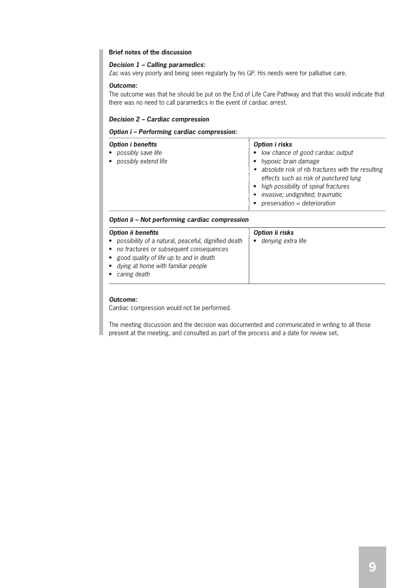#### **Brief notes of the discussion**

#### **Decision 1 – Calling paramedics:**

Zac was very poorly and being seen regularly by his GP. His needs were for palliative care.

#### **Outcome:**

The outcome was that he should be put on the End of Life Care Pathway and that this would indicate that there was no need to call paramedics in the event of cardiac arrest.

#### **Decision 2 – Cardiac compression**

#### **Option i – Performing cardiac compression:**

| Option i benefits                            | Option i risks                                                                                                                                               |
|----------------------------------------------|--------------------------------------------------------------------------------------------------------------------------------------------------------------|
| possibly save life<br>• possibly extend life | • low chance of good cardiac output<br>hypoxic brain damage<br>• absolute risk of rib fractures with the resulting<br>effects such as risk of punctured lung |
|                                              | • high possibility of spinal fractures<br>invasive; undignified; traumatic<br>preservation = deterioration                                                   |

#### **Option ii – Not performing cardiac compression**

| Option ii benefits                                                                                                                                                                                               | Option ii risks                 |
|------------------------------------------------------------------------------------------------------------------------------------------------------------------------------------------------------------------|---------------------------------|
| possibility of a natural, peaceful, dignified death<br>$\bullet$<br>• no fractures or subsequent consequences<br>good quality of life up to and in death<br>• dying at home with familiar people<br>caring death | denying extra life<br>$\bullet$ |

#### **Outcome:**

Cardiac compression would not be performed.

The meeting discussion and the decision was documented and communicated in writing to all those present at the meeting, and consulted as part of the process and a date for review set**.**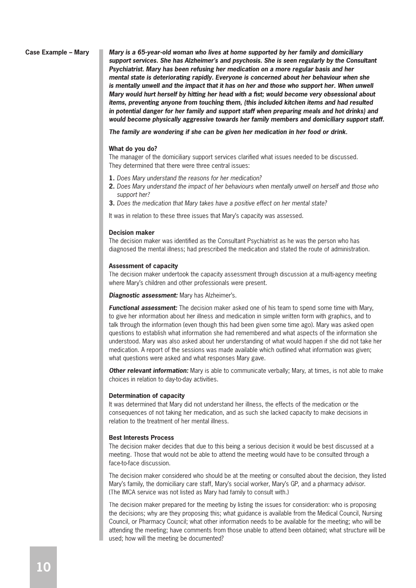#### **Case Example – Mary**

**Mary is a 65-year-old woman who lives at home supported by her family and domiciliary support services. She has Alzheimer's and psychosis. She is seen regularly by the Consultant Psychiatrist. Mary has been refusing her medication on a more regular basis and her mental state is deteriorating rapidly. Everyone is concerned about her behaviour when she is mentally unwell and the impact that it has on her and those who support her. When unwell Mary would hurt herself by hitting her head with a fist; would become very obsessional about items, preventing anyone from touching them, (this included kitchen items and had resulted in potential danger for her family and support staff when preparing meals and hot drinks) and would become physically aggressive towards her family members and domiciliary support staff.**

**The family are wondering if she can be given her medication in her food or drink.**

#### **What do you do?**

The manager of the domiciliary support services clarified what issues needed to be discussed. They determined that there were three central issues:

- **1.** Does Mary understand the reasons for her medication?
- **2.** Does Mary understand the impact of her behaviours when mentally unwell on herself and those who support her?
- **3.** Does the medication that Mary takes have a positive effect on her mental state?

It was in relation to these three issues that Mary's capacity was assessed.

#### **Decision maker**

The decision maker was identified as the Consultant Psychiatrist as he was the person who has diagnosed the mental illness; had prescribed the medication and stated the route of administration.

#### **Assessment of capacity**

The decision maker undertook the capacity assessment through discussion at a multi-agency meeting where Mary's children and other professionals were present.

**Diagnostic assessment:** Mary has Alzheimer's.

**Functional assessment:** The decision maker asked one of his team to spend some time with Mary, to give her information about her illness and medication in simple written form with graphics, and to talk through the information (even though this had been given some time ago). Mary was asked open questions to establish what information she had remembered and what aspects of the information she understood. Mary was also asked about her understanding of what would happen if she did not take her medication. A report of the sessions was made available which outlined what information was given; what questions were asked and what responses Mary gave.

**Other relevant information:** Mary is able to communicate verbally; Mary, at times, is not able to make choices in relation to day-to-day activities.

#### **Determination of capacity**

It was determined that Mary did not understand her illness, the effects of the medication or the consequences of not taking her medication, and as such she lacked capacity to make decisions in relation to the treatment of her mental illness.

#### **Best Interests Process**

The decision maker decides that due to this being a serious decision it would be best discussed at a meeting. Those that would not be able to attend the meeting would have to be consulted through a face-to-face discussion.

The decision maker considered who should be at the meeting or consulted about the decision, they listed Mary's family, the domiciliary care staff, Mary's social worker, Mary's GP, and a pharmacy advisor. (The IMCA service was not listed as Mary had family to consult with.)

The decision maker prepared for the meeting by listing the issues for consideration: who is proposing the decisions; why are they proposing this; what guidance is available from the Medical Council, Nursing Council, or Pharmacy Council; what other information needs to be available for the meeting; who will be attending the meeting; have comments from those unable to attend been obtained; what structure will be used; how will the meeting be documented?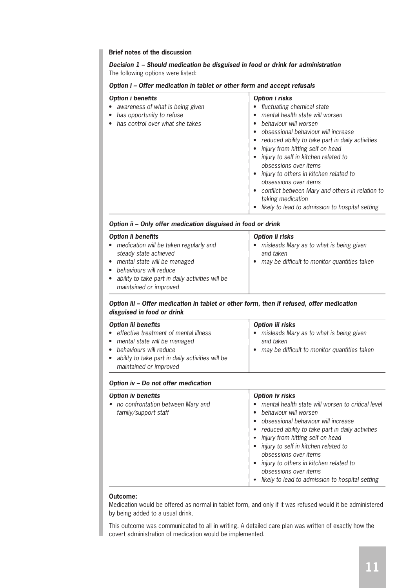#### **Brief notes of the discussion**

**Decision 1 – Should medication be disguised in food or drink for administration** The following options were listed:

#### **Option i – Offer medication in tablet or other form and accept refusals**

| Option i benefits<br>• awareness of what is being given<br>• has opportunity to refuse<br>• has control over what she takes | Option i risks<br>fluctuating chemical state<br>$\bullet$<br>mental health state will worsen<br>behaviour will worsen<br>$\bullet$<br>obsessional behaviour will increase<br>reduced ability to take part in daily activities<br>injury from hitting self on head<br>injury to self in kitchen related to<br>obsessions over items<br>• injury to others in kitchen related to<br>obsessions over items<br>• conflict between Mary and others in relation to<br>taking medication<br>likely to lead to admission to hospital setting |
|-----------------------------------------------------------------------------------------------------------------------------|--------------------------------------------------------------------------------------------------------------------------------------------------------------------------------------------------------------------------------------------------------------------------------------------------------------------------------------------------------------------------------------------------------------------------------------------------------------------------------------------------------------------------------------|
|                                                                                                                             |                                                                                                                                                                                                                                                                                                                                                                                                                                                                                                                                      |

#### **Option ii – Only offer medication disguised in food or drink**

| maintained or improved |
|------------------------|
|------------------------|

#### **Option iii – Offer medication in tablet or other form, then if refused, offer medication disguised in food or drink**

| <b>Option iii benefits</b>                                                                               | Option iii risks                                                  |
|----------------------------------------------------------------------------------------------------------|-------------------------------------------------------------------|
| • effective treatment of mental illness<br>• mental state will be managed                                | misleads Mary as to what is being given<br>$\bullet$<br>and taken |
| • behaviours will reduce<br>• ability to take part in daily activities will be<br>maintained or improved | may be difficult to monitor quantities taken<br>$\bullet$         |

#### **Option iv – Do not offer medication**

| <b>Option iv benefits</b>                                   | Option iv risks                                                                                                                                                                                                                                                                                                                                                                                  |
|-------------------------------------------------------------|--------------------------------------------------------------------------------------------------------------------------------------------------------------------------------------------------------------------------------------------------------------------------------------------------------------------------------------------------------------------------------------------------|
| • no confrontation between Mary and<br>family/support staff | mental health state will worsen to critical level<br>behaviour will worsen<br>obsessional behaviour will increase<br>reduced ability to take part in daily activities<br>injury from hitting self on head<br>injury to self in kitchen related to<br>obsessions over items<br>injury to others in kitchen related to<br>obsessions over items<br>likely to lead to admission to hospital setting |

#### **Outcome:**

Medication would be offered as normal in tablet form, and only if it was refused would it be administered by being added to a usual drink.

This outcome was communicated to all in writing. A detailed care plan was written of exactly how the covert administration of medication would be implemented.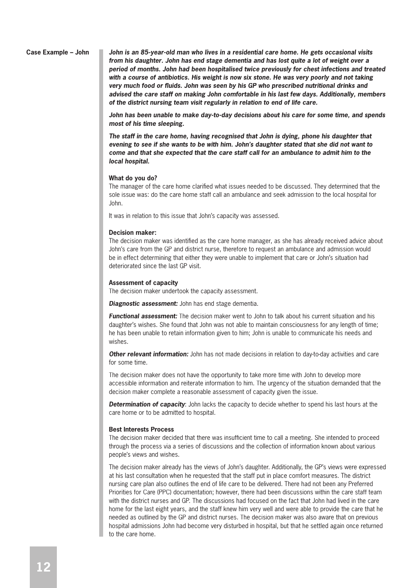**Case Example – John John is an 85-year-old man who lives in a residential care home. He gets occasional visits from his daughter. John has end stage dementia and has lost quite a lot of weight over a period of months. John had been hospitalised twice previously for chest infections and treated with a course of antibiotics. His weight is now six stone. He was very poorly and not taking very much food or fl uids. John was seen by his GP who prescribed nutritional drinks and advised the care staff on making John comfortable in his last few days. Additionally, members of the district nursing team visit regularly in relation to end of life care.**

> **John has been unable to make day-to-day decisions about his care for some time, and spends most of his time sleeping.**

**The staff in the care home, having recognised that John is dying, phone his daughter that evening to see if she wants to be with him. John's daughter stated that she did not want to come and that she expected that the care staff call for an ambulance to admit him to the local hospital.**

#### **What do you do?**

The manager of the care home clarified what issues needed to be discussed. They determined that the sole issue was: do the care home staff call an ambulance and seek admission to the local hospital for John.

It was in relation to this issue that John's capacity was assessed.

#### **Decision maker:**

The decision maker was identified as the care home manager, as she has already received advice about John's care from the GP and district nurse, therefore to request an ambulance and admission would be in effect determining that either they were unable to implement that care or John's situation had deteriorated since the last GP visit.

#### **Assessment of capacity**

The decision maker undertook the capacity assessment.

**Diagnostic assessment:** John has end stage dementia.

**Functional assessment:** The decision maker went to John to talk about his current situation and his daughter's wishes. She found that John was not able to maintain consciousness for any length of time; he has been unable to retain information given to him; John is unable to communicate his needs and wishes.

**Other relevant information:** John has not made decisions in relation to day-to-day activities and care for some time.

The decision maker does not have the opportunity to take more time with John to develop more accessible information and reiterate information to him. The urgency of the situation demanded that the decision maker complete a reasonable assessment of capacity given the issue.

**Determination of capacity**: John lacks the capacity to decide whether to spend his last hours at the care home or to be admitted to hospital.

#### **Best Interests Process**

The decision maker decided that there was insufficient time to call a meeting. She intended to proceed through the process via a series of discussions and the collection of information known about various people's views and wishes.

The decision maker already has the views of John's daughter. Additionally, the GP's views were expressed at his last consultation when he requested that the staff put in place comfort measures. The district nursing care plan also outlines the end of life care to be delivered. There had not been any Preferred Priorities for Care (PPC) documentation; however, there had been discussions within the care staff team with the district nurses and GP. The discussions had focused on the fact that John had lived in the care home for the last eight years, and the staff knew him very well and were able to provide the care that he needed as outlined by the GP and district nurses. The decision maker was also aware that on previous hospital admissions John had become very disturbed in hospital, but that he settled again once returned to the care home.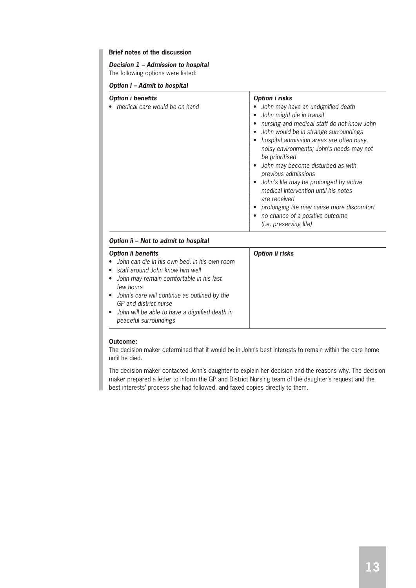#### **Brief notes of the discussion**

#### **Decision 1 – Admission to hospital**

The following options were listed:

#### **Option i – Admit to hospital**

| Option i benefits<br>• medical care would be on hand | Option i risks<br>John may have an undignified death<br>John might die in transit<br>nursing and medical staff do not know John<br>John would be in strange surroundings<br>hospital admission areas are often busy,<br>noisy environments; John's needs may not<br>be prioritised<br>John may become disturbed as with<br>previous admissions<br>• John's life may be prolonged by active<br>medical intervention until his notes<br>are received<br>prolonging life may cause more discomfort<br>• no chance of a positive outcome |
|------------------------------------------------------|--------------------------------------------------------------------------------------------------------------------------------------------------------------------------------------------------------------------------------------------------------------------------------------------------------------------------------------------------------------------------------------------------------------------------------------------------------------------------------------------------------------------------------------|
|                                                      | ( <i>i.e.</i> preserving life)                                                                                                                                                                                                                                                                                                                                                                                                                                                                                                       |

#### **Option ii – Not to admit to hospital**

| Option ii benefits                                                                                                                                                                                                       | Option ii risks |
|--------------------------------------------------------------------------------------------------------------------------------------------------------------------------------------------------------------------------|-----------------|
| • John can die in his own bed, in his own room<br>• staff around John know him well<br>• John may remain comfortable in his last<br>few hours<br>• John's care will continue as outlined by the<br>GP and district nurse |                 |
| • John will be able to have a dignified death in<br>peaceful surroundings                                                                                                                                                |                 |

#### **Outcome:**

The decision maker determined that it would be in John's best interests to remain within the care home until he died.

The decision maker contacted John's daughter to explain her decision and the reasons why. The decision maker prepared a letter to inform the GP and District Nursing team of the daughter's request and the best interests' process she had followed, and faxed copies directly to them.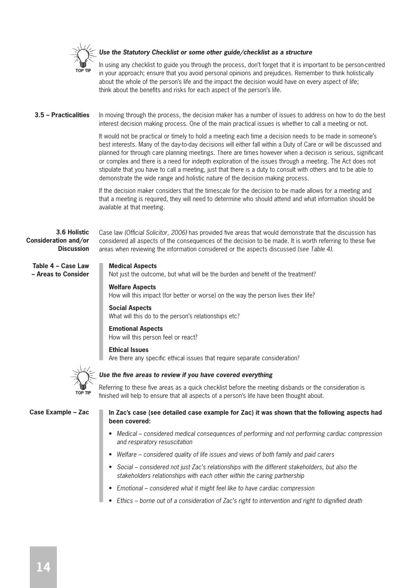

#### **Use the Statutory Checklist or some other guide/checklist as a structure**

In using any checklist to guide you through the process, don't forget that it is important to be person-centred in your approach; ensure that you avoid personal opinions and prejudices. Remember to think holistically about the whole of the person's life and the impact the decision would have on every aspect of life; think about the benefits and risks for each aspect of the person's life.

In moving through the process, the decision maker has a number of issues to address on how to do the best interest decision making process. One of the main practical issues is whether to call a meeting or not. **3.5 – Practicalities**

> It would not be practical or timely to hold a meeting each time a decision needs to be made in someone's best interests. Many of the day-to-day decisions will either fall within a Duty of Care or will be discussed and planned for through care planning meetings. There are times however when a decision is serious, significant or complex and there is a need for indepth exploration of the issues through a meeting. The Act does not stipulate that you have to call a meeting, just that there is a duty to consult with others and to be able to demonstrate the wide range and holistic nature of the decision making process.

If the decision maker considers that the timescale for the decision to be made allows for a meeting and that a meeting is required, they will need to determine who should attend and what information should be available at that meeting.

Case law (Official Solicitor, 2006) has provided five areas that would demonstrate that the discussion has considered all aspects of the consequences of the decision to be made. It is worth referring to these five

#### **3.6 Holistic Consideration and/or Discussion**

**Table 4 – Case Law – Areas to Consider**

#### **Medical Aspects**

Not just the outcome, but what will be the burden and benefit of the treatment?

areas when reviewing the information considered or the aspects discussed (see Table 4).

#### **Welfare Aspects**

How will this impact (for better or worse) on the way the person lives their life?

#### **Social Aspects**

What will this do to the person's relationships etc?

#### **Emotional Aspects**

How will this person feel or react?

#### **Ethical Issues**

Are there any specific ethical issues that require separate consideration?



#### Use the five areas to review if you have covered everything

Referring to these five areas as a quick checklist before the meeting disbands or the consideration is finished will help to ensure that all aspects of a person's life have been thought about.

#### **Case Example – Zac**

#### **In Zac's case (see detailed case example for Zac) it was shown that the following aspects had been covered:**

- Medical considered medical consequences of performing and not performing cardiac compression and respiratory resuscitation
- Welfare considered quality of life issues and views of both family and paid carers
- Social considered not just Zac's relationships with the different stakeholders, but also the stakeholders relationships with each other within the caring partnership
- Emotional considered what it might feel like to have cardiac compression
- Ethics borne out of a consideration of Zac's right to intervention and right to dignified death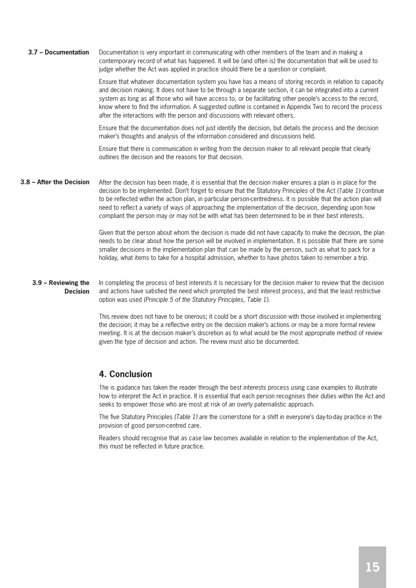Documentation is very important in communicating with other members of the team and in making a contemporary record of what has happened. It will be (and often is) the documentation that will be used to judge whether the Act was applied in practice should there be a question or complaint. **3.7 – Documentation**

> Ensure that whatever documentation system you have has a means of storing records in relation to capacity and decision making. It does not have to be through a separate section, it can be integrated into a current system as long as all those who will have access to, or be facilitating other people's access to the record, know where to find the information. A suggested outline is contained in Appendix Two to record the process after the interactions with the person and discussions with relevant others.

Ensure that the documentation does not just identify the decision, but details the process and the decision maker's thoughts and analysis of the information considered and discussions held.

Ensure that there is communication in writing from the decision maker to all relevant people that clearly outlines the decision and the reasons for that decision.

After the decision has been made, it is essential that the decision maker ensures a plan is in place for the decision to be implemented. Don't forget to ensure that the Statutory Principles of the Act (Table 1) continue to be reflected within the action plan, in particular person-centredness. It is possible that the action plan will need to reflect a variety of ways of approaching the implementation of the decision, depending upon how compliant the person may or may not be with what has been determined to be in their best interests. **3.8 – After the Decision**

> Given that the person about whom the decision is made did not have capacity to make the decision, the plan needs to be clear about how the person will be involved in implementation. It is possible that there are some smaller decisions in the implementation plan that can be made by the person, such as what to pack for a holiday, what items to take for a hospital admission, whether to have photos taken to remember a trip.

In completing the process of best interests it is necessary for the decision maker to review that the decision and actions have satisfied the need which prompted the best interest process, and that the least restrictive option was used (Principle 5 of the Statutory Principles, Table 1). **3.9 – Reviewing the Decision**

> This review does not have to be onerous; it could be a short discussion with those involved in implementing the decision; it may be a reflective entry on the decision maker's actions or may be a more formal review meeting. It is at the decision maker's discretion as to what would be the most appropriate method of review given the type of decision and action. The review must also be documented.

#### **4. Conclusion**

The is guidance has taken the reader through the best interests process using case examples to illustrate how to interpret the Act in practice. It is essential that each person recognises their duties within the Act and seeks to empower those who are most at risk of an overly paternalistic approach.

The five Statutory Principles (Table 1) are the cornerstone for a shift in everyone's day-to-day practice in the provision of good person-centred care.

Readers should recognise that as case law becomes available in relation to the implementation of the Act, this must be reflected in future practice.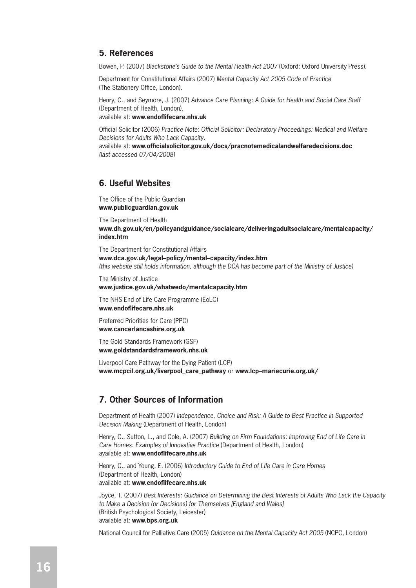### **5. References**

Bowen, P. (2007) Blackstone's Guide to the Mental Health Act 2007 (Oxford: Oxford University Press).

Department for Constitutional Affairs (2007) Mental Capacity Act 2005 Code of Practice (The Stationery Office, London).

Henry, C., and Seymore, J. (2007) Advance Care Planning: A Guide for Health and Social Care Staff (Department of Health, London).

available at: www.endoflifecare.nhs.uk

Official Solicitor (2006) Practice Note: Official Solicitor: Declaratory Proceedings: Medical and Welfare Decisions for Adults Who Lack Capacity.

available at: **www.offi cialsolicitor.gov.uk/docs/pracnotemedicalandwelfaredecisions.doc** (last accessed 07/04/2008)

# **6. Useful Websites**

The Office of the Public Guardian **www.publicguardian.gov.uk**

The Department of Health **www.dh.gov.uk/en/policyandguidance/socialcare/deliveringadultsocialcare/mentalcapacity/ index.htm**

The Department for Constitutional Affairs **www.dca.gov.uk/legal–policy/mental–capacity/index.htm** (this website still holds information, although the DCA has become part of the Ministry of Justice)

The Ministry of Justice

**www.justice.gov.uk/whatwedo/mentalcapacity.htm**

The NHS End of Life Care Programme (EoLC) **www.endofl ifecare.nhs.uk**

Preferred Priorities for Care (PPC) **www.cancerlancashire.org.uk**

The Gold Standards Framework (GSF) **www.goldstandardsframework.nhs.uk**

Liverpool Care Pathway for the Dying Patient (LCP) **www.mcpcil.org.uk/liverpool\_care\_pathway** or **www.lcp–mariecurie.org.uk/**

# **7. Other Sources of Information**

Department of Health (2007) Independence, Choice and Risk: A Guide to Best Practice in Supported Decision Making (Department of Health, London)

Henry, C., Sutton, L., and Cole, A. (2007) Building on Firm Foundations: Improving End of Life Care in Care Homes: Examples of Innovative Practice (Department of Health, London) available at: www.endoflifecare.nhs.uk

Henry, C., and Young, E. (2006) Introductory Guide to End of Life Care in Care Homes (Department of Health, London) available at: www.endoflifecare.nhs.uk

Joyce, T. (2007) Best Interests: Guidance on Determining the Best Interests of Adults Who Lack the Capacity to Make a Decision (or Decisions) for Themselves [England and Wales] (British Psychological Society, Leicester) available at: **www.bps.org.uk**

National Council for Palliative Care (2005) Guidance on the Mental Capacity Act 2005 (NCPC, London)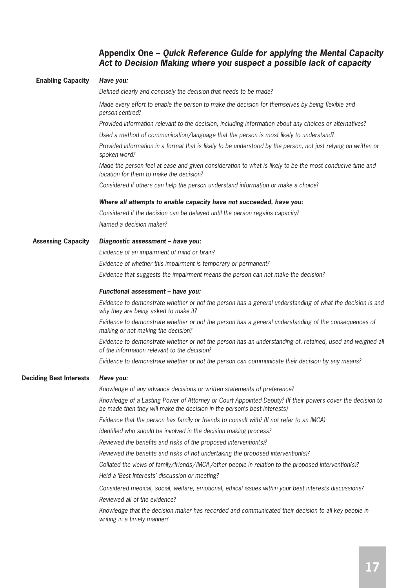#### **Appendix One – Quick Reference Guide for applying the Mental Capacity Act to Decision Making where you suspect a possible lack of capacity**

# **Have you:** Defined clearly and concisely the decision that needs to be made? Made every effort to enable the person to make the decision for themselves by being flexible and person-centred? Provided information relevant to the decision, including information about any choices or alternatives? Used a method of communication/language that the person is most likely to understand? Provided information in a format that is likely to be understood by the person, not just relying on written or spoken word? Made the person feel at ease and given consideration to what is likely to be the most conducive time and location for them to make the decision? Considered if others can help the person understand information or make a choice? **Where all attempts to enable capacity have not succeeded, have you:** Considered if the decision can be delayed until the person regains capacity? Named a decision maker? **Diagnostic assessment – have you:** Evidence of an impairment of mind or brain? Evidence of whether this impairment is temporary or permanent? Evidence that suggests the impairment means the person can not make the decision? **Functional assessment – have you:** Evidence to demonstrate whether or not the person has a general understanding of what the decision is and why they are being asked to make it? Evidence to demonstrate whether or not the person has a general understanding of the consequences of making or not making the decision? Evidence to demonstrate whether or not the person has an understanding of, retained, used and weighed all of the information relevant to the decision? Evidence to demonstrate whether or not the person can communicate their decision by any means? **Have you:** Knowledge of any advance decisions or written statements of preference? Knowledge of a Lasting Power of Attorney or Court Appointed Deputy? (If their powers cover the decision to be made then they will make the decision in the person's best interests) Evidence that the person has family or friends to consult with? (If not refer to an IMCA) Identified who should be involved in the decision making process? Reviewed the benefits and risks of the proposed intervention(s)? Reviewed the benefits and risks of not undertaking the proposed intervention(s)? Collated the views of family/friends/IMCA/other people in relation to the proposed intervention(s)? Held a 'Best Interests' discussion or meeting? Considered medical, social, welfare, emotional, ethical issues within your best interests discussions? Reviewed all of the evidence? Knowledge that the decision maker has recorded and communicated their decision to all key people in writing in a timely manner? **Enabling Capacity Assessing Capacity Deciding Best Interests**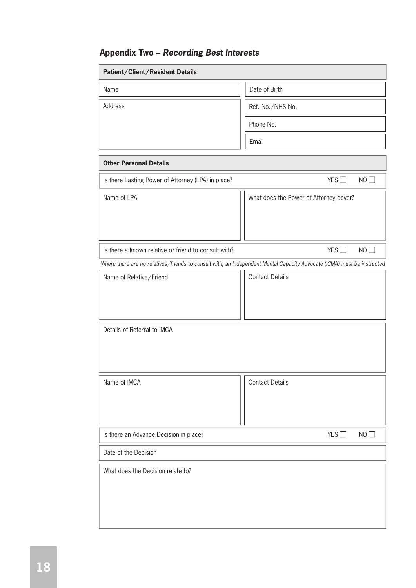# **Appendix Two – Recording Best Interests**

| Patient/Client/Resident Details                      |                                                                                                                         |
|------------------------------------------------------|-------------------------------------------------------------------------------------------------------------------------|
| Name                                                 | Date of Birth                                                                                                           |
| Address                                              | Ref. No./NHS No.                                                                                                        |
|                                                      | Phone No.                                                                                                               |
|                                                      | Email                                                                                                                   |
| <b>Other Personal Details</b>                        |                                                                                                                         |
| Is there Lasting Power of Attorney (LPA) in place?   | YES<br>NO                                                                                                               |
| Name of LPA                                          | What does the Power of Attorney cover?                                                                                  |
| Is there a known relative or friend to consult with? | YES<br>NO                                                                                                               |
|                                                      | Where there are no relatives/friends to consult with, an Independent Mental Capacity Advocate (ICMA) must be instructed |
| Name of Relative/Friend                              | <b>Contact Details</b>                                                                                                  |
| Details of Referral to IMCA                          |                                                                                                                         |
| Name of IMCA                                         | <b>Contact Details</b>                                                                                                  |
| Is there an Advance Decision in place?               | YES<br>NO                                                                                                               |
| Date of the Decision                                 |                                                                                                                         |
| What does the Decision relate to?                    |                                                                                                                         |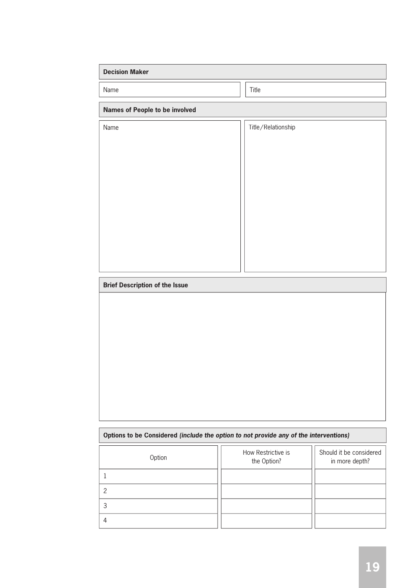| <b>Decision Maker</b>                 |                    |
|---------------------------------------|--------------------|
| Name                                  | Title              |
| <b>Names of People to be involved</b> |                    |
| Name                                  | Title/Relationship |
|                                       |                    |
|                                       |                    |
|                                       |                    |
|                                       |                    |
|                                       |                    |
|                                       |                    |
|                                       |                    |
|                                       |                    |

#### **Brief Description of the Issue**

# **Options to be Considered (include the option to not provide any of the interventions)** 1 Option **Should it be considered** Should it be considered the Option **Should** in more don't be  $\frac{1}{2}$ in more depth? How Restrictive is the Option? 2 3 4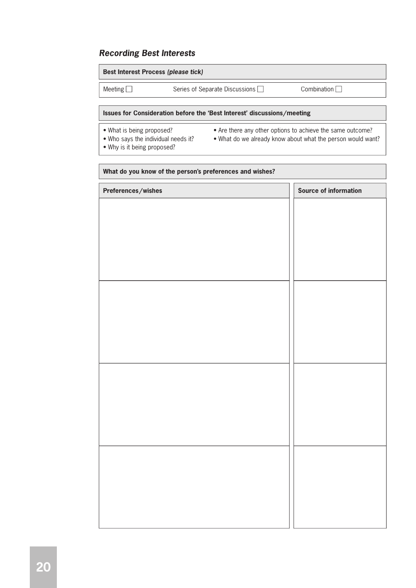# **Recording Best Interests**

| <b>Best Interest Process (please tick)</b> |                                |             |  |
|--------------------------------------------|--------------------------------|-------------|--|
| Meeting $\Box$                             | Series of Separate Discussions | Combination |  |
|                                            |                                |             |  |

#### **Issues for Consideration before the 'Best Interest' discussions/meeting**

- 
- What is being proposed? Are there any other options to achieve the same outcome?
- 
- 
- Why is it being proposed?
- Who says the individual needs it? What do we already know about what the person would want?
	-

# **What do you know of the person's preferences and wishes? Preferences/wishes Source of information**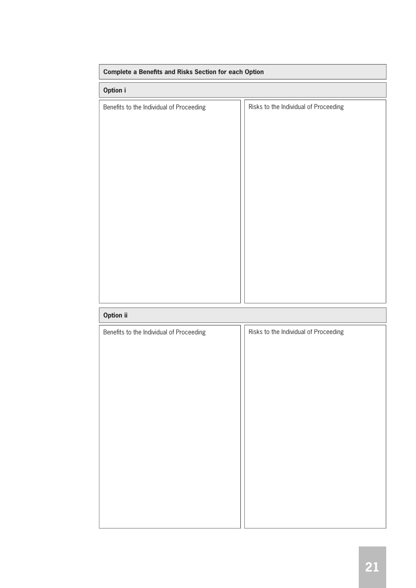| <b>Complete a Benefits and Risks Section for each Option</b> |                                       |  |  |  |
|--------------------------------------------------------------|---------------------------------------|--|--|--|
| Option i                                                     |                                       |  |  |  |
| Benefits to the Individual of Proceeding                     | Risks to the Individual of Proceeding |  |  |  |
| Option ii                                                    |                                       |  |  |  |

| Benefits to the Individual of Proceeding | Risks to the Individual of Proceeding |  |  |
|------------------------------------------|---------------------------------------|--|--|
|                                          |                                       |  |  |
|                                          |                                       |  |  |
|                                          |                                       |  |  |
|                                          |                                       |  |  |
|                                          |                                       |  |  |
|                                          |                                       |  |  |
|                                          |                                       |  |  |
|                                          |                                       |  |  |
|                                          |                                       |  |  |
|                                          |                                       |  |  |
|                                          |                                       |  |  |
|                                          |                                       |  |  |
|                                          |                                       |  |  |
|                                          |                                       |  |  |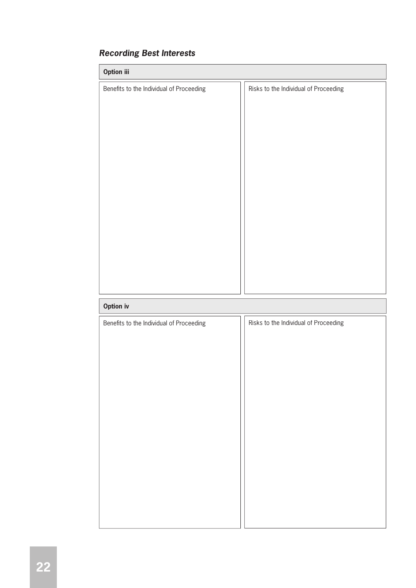| Option iii                               |                                       |  |  |  |
|------------------------------------------|---------------------------------------|--|--|--|
| Benefits to the Individual of Proceeding | Risks to the Individual of Proceeding |  |  |  |
|                                          |                                       |  |  |  |
|                                          |                                       |  |  |  |
|                                          |                                       |  |  |  |
|                                          |                                       |  |  |  |
|                                          |                                       |  |  |  |
|                                          |                                       |  |  |  |
|                                          |                                       |  |  |  |
|                                          |                                       |  |  |  |
|                                          |                                       |  |  |  |
|                                          |                                       |  |  |  |
|                                          |                                       |  |  |  |
|                                          |                                       |  |  |  |
|                                          |                                       |  |  |  |
|                                          |                                       |  |  |  |
| <b>Option iv</b>                         |                                       |  |  |  |

# **Recording Best Interests**

| Benefits to the Individual of Proceeding | Risks to the Individual of Proceeding |  |  |  |
|------------------------------------------|---------------------------------------|--|--|--|
|                                          |                                       |  |  |  |
|                                          |                                       |  |  |  |
|                                          |                                       |  |  |  |
|                                          |                                       |  |  |  |
|                                          |                                       |  |  |  |
|                                          |                                       |  |  |  |
|                                          |                                       |  |  |  |
|                                          |                                       |  |  |  |
|                                          |                                       |  |  |  |
|                                          |                                       |  |  |  |
|                                          |                                       |  |  |  |
|                                          |                                       |  |  |  |
|                                          |                                       |  |  |  |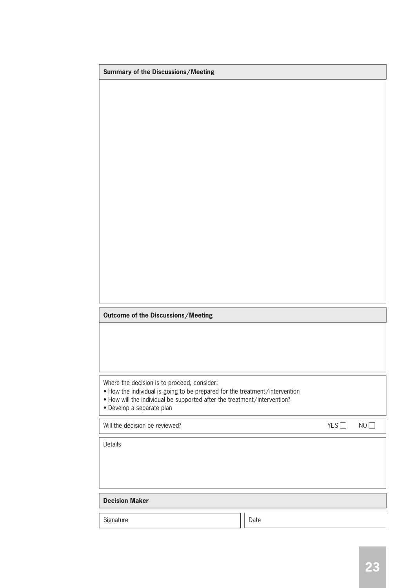| Summary of the Discussions/Meeting                                                                                         |      |     |    |  |  |  |
|----------------------------------------------------------------------------------------------------------------------------|------|-----|----|--|--|--|
|                                                                                                                            |      |     |    |  |  |  |
|                                                                                                                            |      |     |    |  |  |  |
|                                                                                                                            |      |     |    |  |  |  |
|                                                                                                                            |      |     |    |  |  |  |
|                                                                                                                            |      |     |    |  |  |  |
|                                                                                                                            |      |     |    |  |  |  |
|                                                                                                                            |      |     |    |  |  |  |
|                                                                                                                            |      |     |    |  |  |  |
|                                                                                                                            |      |     |    |  |  |  |
|                                                                                                                            |      |     |    |  |  |  |
|                                                                                                                            |      |     |    |  |  |  |
|                                                                                                                            |      |     |    |  |  |  |
|                                                                                                                            |      |     |    |  |  |  |
|                                                                                                                            |      |     |    |  |  |  |
|                                                                                                                            |      |     |    |  |  |  |
|                                                                                                                            |      |     |    |  |  |  |
| Outcome of the Discussions/Meeting                                                                                         |      |     |    |  |  |  |
|                                                                                                                            |      |     |    |  |  |  |
|                                                                                                                            |      |     |    |  |  |  |
|                                                                                                                            |      |     |    |  |  |  |
|                                                                                                                            |      |     |    |  |  |  |
| Where the decision is to proceed, consider:<br>. How the individual is going to be prepared for the treatment/intervention |      |     |    |  |  |  |
| . How will the individual be supported after the treatment/intervention?<br>· Develop a separate plan                      |      |     |    |  |  |  |
|                                                                                                                            |      |     |    |  |  |  |
| Will the decision be reviewed?                                                                                             |      | YES | NO |  |  |  |
| Details                                                                                                                    |      |     |    |  |  |  |
|                                                                                                                            |      |     |    |  |  |  |
|                                                                                                                            |      |     |    |  |  |  |
|                                                                                                                            |      |     |    |  |  |  |
| <b>Decision Maker</b>                                                                                                      |      |     |    |  |  |  |
| Signature                                                                                                                  | Date |     |    |  |  |  |
|                                                                                                                            |      |     |    |  |  |  |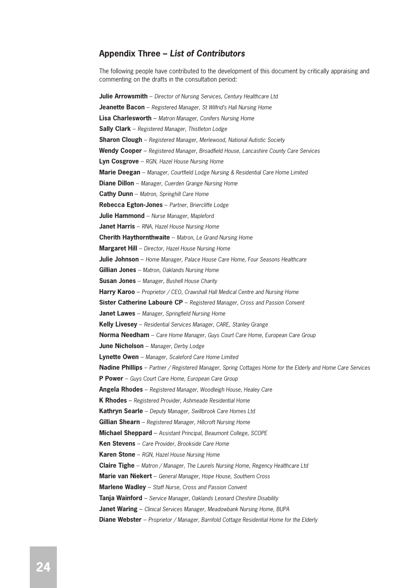#### **Appendix Three – List of Contributors**

The following people have contributed to the development of this document by critically appraising and commenting on the drafts in the consultation period:

**Julie Arrowsmith** – Director of Nursing Services, Century Healthcare Ltd **Jeanette Bacon** - Registered Manager, St Wilfrid's Hall Nursing Home **Lisa Charlesworth** – Matron Manager, Conifers Nursing Home **Sally Clark** – Registered Manager, Thistleton Lodge **Sharon Clough** – Registered Manager, Merlewood, National Autistic Society Wendy Cooper – Registered Manager, Broadfield House, Lancashire County Care Services **Lyn Cosgrove** – RGN, Hazel House Nursing Home Marie Deegan - Manager, Courtfield Lodge Nursing & Residential Care Home Limited **Diane Dillon** – Manager, Cuerden Grange Nursing Home **Cathy Dunn** – Matron, Springhill Care Home **Rebecca Egton-Jones** – Partner, Briercliffe Lodge **Julie Hammond** – Nurse Manager, Mapleford **Janet Harris** – RNA, Hazel House Nursing Home **Cherith Haythornthwaite** – Matron, Le Grand Nursing Home **Margaret Hill** – Director, Hazel House Nursing Home **Julie Johnson** – Home Manager, Palace House Care Home, Four Seasons Healthcare **Gillian Jones** – Matron, Oaklands Nursing Home **Susan Jones** – Manager, Bushell House Charity **Harry Karoo** – Proprietor / CEO, Crawshall Hall Medical Centre and Nursing Home **Sister Catherine Labouré CP** – Registered Manager, Cross and Passion Convent **Janet Lawes** – Manager, Springfield Nursing Home **Kelly Livesey** – Residential Services Manager, CARE, Stanley Grange **Norma Needham** – Care Home Manager, Guys Court Care Home, European Care Group **June Nicholson** – Manager, Derby Lodge **Lynette Owen** – Manager, Scaleford Care Home Limited **Nadine Phillips** – Partner / Registered Manager, Spring Cottages Home for the Elderly and Home Care Services **P Power** – Guys Court Care Home, European Care Group **Angela Rhodes** – Registered Manager, Woodleigh House, Healey Care **K Rhodes** – Registered Provider, Ashmeade Residential Home **Kathryn Searle** – Deputy Manager, Swillbrook Care Homes Ltd **Gillian Shearn** – Registered Manager, Hillcroft Nursing Home **Michael Sheppard** – Assistant Principal, Beaumont College, SCOPE **Ken Stevens** – Care Provider, Brookside Care Home **Karen Stone** – RGN, Hazel House Nursing Home **Claire Tighe** – Matron / Manager, The Laurels Nursing Home, Regency Healthcare Ltd **Marie van Niekert** – General Manager, Hope House, Southern Cross **Marlene Wadley** – Staff Nurse, Cross and Passion Convent **Tanja Wainford** – Service Manager, Oaklands Leonard Cheshire Disability **Janet Waring** – Clinical Services Manager, Meadowbank Nursing Home, BUPA **Diane Webster** – Proprietor / Manager, Barnfold Cottage Residential Home for the Elderly